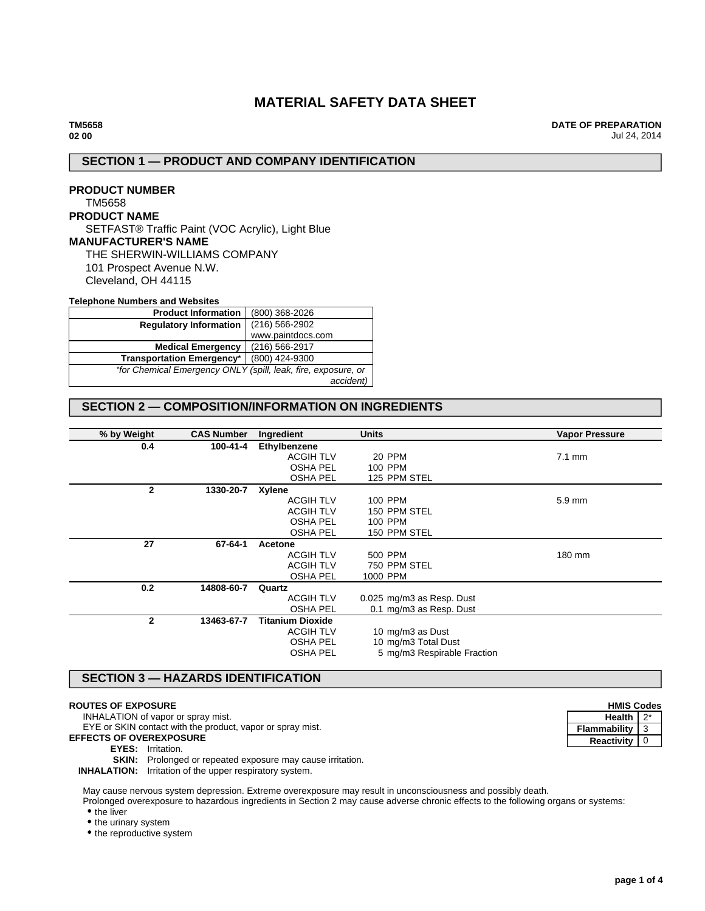# **MATERIAL SAFETY DATA SHEET**

**DATE OF PREPARATION** Jul 24, 2014

# **SECTION 1 — PRODUCT AND COMPANY IDENTIFICATION**

# **PRODUCT NUMBER** TM5658 **PRODUCT NAME** SETFAST® Traffic Paint (VOC Acrylic), Light Blue **MANUFACTURER'S NAME** THE SHERWIN-WILLIAMS COMPANY 101 Prospect Avenue N.W. Cleveland, OH 44115

#### **Telephone Numbers and Websites**

| <b>Product Information</b>                                    | (800) 368-2026     |  |
|---------------------------------------------------------------|--------------------|--|
| <b>Regulatory Information</b>                                 | $(216) 566 - 2902$ |  |
|                                                               | www.paintdocs.com  |  |
| <b>Medical Emergency</b>                                      | (216) 566-2917     |  |
| <b>Transportation Emergency*</b>                              | (800) 424-9300     |  |
| *for Chemical Emergency ONLY (spill, leak, fire, exposure, or |                    |  |
|                                                               | accident)          |  |

# **SECTION 2 — COMPOSITION/INFORMATION ON INGREDIENTS**

| % by Weight  | <b>CAS Number</b> | Ingredient              | <b>Units</b>                | <b>Vapor Pressure</b> |
|--------------|-------------------|-------------------------|-----------------------------|-----------------------|
| 0.4          | 100-41-4          | Ethylbenzene            |                             |                       |
|              |                   | <b>ACGIH TLV</b>        | <b>20 PPM</b>               | $7.1 \text{ mm}$      |
|              |                   | <b>OSHA PEL</b>         | 100 PPM                     |                       |
|              |                   | <b>OSHA PEL</b>         | 125 PPM STEL                |                       |
| $\mathbf{2}$ | 1330-20-7         | Xylene                  |                             |                       |
|              |                   | <b>ACGIH TLV</b>        | 100 PPM                     | $5.9 \text{ mm}$      |
|              |                   | <b>ACGIH TLV</b>        | 150 PPM STEL                |                       |
|              |                   | <b>OSHA PEL</b>         | 100 PPM                     |                       |
|              |                   | <b>OSHA PEL</b>         | 150 PPM STEL                |                       |
| 27           | 67-64-1           | Acetone                 |                             |                       |
|              |                   | <b>ACGIH TLV</b>        | 500 PPM                     | 180 mm                |
|              |                   | <b>ACGIH TLV</b>        | 750 PPM STEL                |                       |
|              |                   | <b>OSHA PEL</b>         | 1000 PPM                    |                       |
| 0.2          | 14808-60-7        | Quartz                  |                             |                       |
|              |                   | <b>ACGIH TLV</b>        | 0.025 mg/m3 as Resp. Dust   |                       |
|              |                   | <b>OSHA PEL</b>         | 0.1 mg/m3 as Resp. Dust     |                       |
| $\mathbf{2}$ | 13463-67-7        | <b>Titanium Dioxide</b> |                             |                       |
|              |                   | <b>ACGIH TLV</b>        | 10 mg/m3 as Dust            |                       |
|              |                   | <b>OSHA PEL</b>         | 10 mg/m3 Total Dust         |                       |
|              |                   | <b>OSHA PEL</b>         | 5 mg/m3 Respirable Fraction |                       |
|              |                   |                         |                             |                       |

# **SECTION 3 — HAZARDS IDENTIFICATION**

## **ROUTES OF EXPOSURE**

INHALATION of vapor or spray mist.

EYE or SKIN contact with the product, vapor or spray mist.

**EFFECTS OF OVEREXPOSURE**

**EYES:** Irritation.

**SKIN:** Prolonged or repeated exposure may cause irritation.

**INHALATION:** Irritation of the upper respiratory system.

May cause nervous system depression. Extreme overexposure may result in unconsciousness and possibly death.

Prolonged overexposure to hazardous ingredients in Section 2 may cause adverse chronic effects to the following organs or systems:

• the liver

• the urinary system

• the reproductive system

| <b>HMIS Codes</b> |   |
|-------------------|---|
| <b>Health</b>     |   |
| Flammability      | З |
| Reactivity        |   |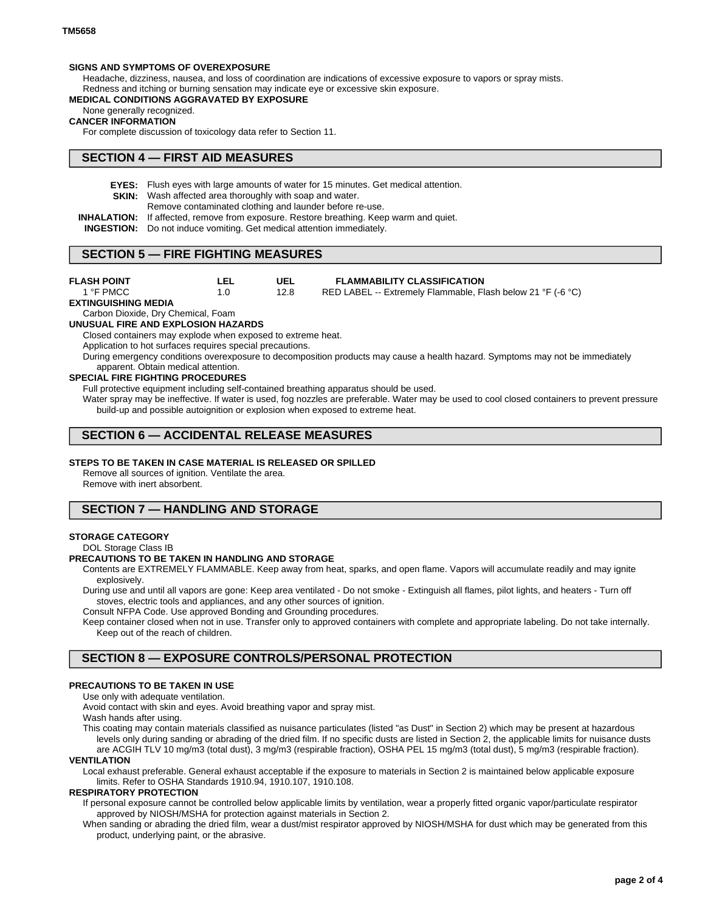## **SIGNS AND SYMPTOMS OF OVEREXPOSURE**

Headache, dizziness, nausea, and loss of coordination are indications of excessive exposure to vapors or spray mists. Redness and itching or burning sensation may indicate eye or excessive skin exposure.

### **MEDICAL CONDITIONS AGGRAVATED BY EXPOSURE**

None generally recognized.

#### **CANCER INFORMATION**

For complete discussion of toxicology data refer to Section 11.

# **SECTION 4 — FIRST AID MEASURES**

- **EYES:** Flush eyes with large amounts of water for 15 minutes. Get medical attention.
- **SKIN:** Wash affected area thoroughly with soap and water.
	- Remove contaminated clothing and launder before re-use.
- **INHALATION:** If affected, remove from exposure. Restore breathing. Keep warm and quiet.
- **INGESTION:** Do not induce vomiting. Get medical attention immediately.

# **SECTION 5 — FIRE FIGHTING MEASURES**

#### **FLASH POINT** 1 °F PMCC

**UEL** 12.8

#### **FLAMMABILITY CLASSIFICATION** RED LABEL -- Extremely Flammable, Flash below 21 °F (-6 °C)

**EXTINGUISHING MEDIA**

# Carbon Dioxide, Dry Chemical, Foam

**UNUSUAL FIRE AND EXPLOSION HAZARDS**

Closed containers may explode when exposed to extreme heat.

**LEL** 1.0

Application to hot surfaces requires special precautions.

During emergency conditions overexposure to decomposition products may cause a health hazard. Symptoms may not be immediately apparent. Obtain medical attention.

### **SPECIAL FIRE FIGHTING PROCEDURES**

Full protective equipment including self-contained breathing apparatus should be used.

Water spray may be ineffective. If water is used, fog nozzles are preferable. Water may be used to cool closed containers to prevent pressure build-up and possible autoignition or explosion when exposed to extreme heat.

# **SECTION 6 — ACCIDENTAL RELEASE MEASURES**

## **STEPS TO BE TAKEN IN CASE MATERIAL IS RELEASED OR SPILLED**

Remove all sources of ignition. Ventilate the area. Remove with inert absorbent.

# **SECTION 7 — HANDLING AND STORAGE**

### **STORAGE CATEGORY**

### DOL Storage Class IB

### **PRECAUTIONS TO BE TAKEN IN HANDLING AND STORAGE**

Contents are EXTREMELY FLAMMABLE. Keep away from heat, sparks, and open flame. Vapors will accumulate readily and may ignite explosively.

During use and until all vapors are gone: Keep area ventilated - Do not smoke - Extinguish all flames, pilot lights, and heaters - Turn off stoves, electric tools and appliances, and any other sources of ignition.

Consult NFPA Code. Use approved Bonding and Grounding procedures.

Keep container closed when not in use. Transfer only to approved containers with complete and appropriate labeling. Do not take internally. Keep out of the reach of children.

# **SECTION 8 — EXPOSURE CONTROLS/PERSONAL PROTECTION**

# **PRECAUTIONS TO BE TAKEN IN USE**

## Use only with adequate ventilation.

Avoid contact with skin and eyes. Avoid breathing vapor and spray mist.

Wash hands after using.

This coating may contain materials classified as nuisance particulates (listed "as Dust" in Section 2) which may be present at hazardous levels only during sanding or abrading of the dried film. If no specific dusts are listed in Section 2, the applicable limits for nuisance dusts are ACGIH TLV 10 mg/m3 (total dust), 3 mg/m3 (respirable fraction), OSHA PEL 15 mg/m3 (total dust), 5 mg/m3 (respirable fraction).

# **VENTILATION**

Local exhaust preferable. General exhaust acceptable if the exposure to materials in Section 2 is maintained below applicable exposure limits. Refer to OSHA Standards 1910.94, 1910.107, 1910.108.

# **RESPIRATORY PROTECTION**

If personal exposure cannot be controlled below applicable limits by ventilation, wear a properly fitted organic vapor/particulate respirator approved by NIOSH/MSHA for protection against materials in Section 2.

When sanding or abrading the dried film, wear a dust/mist respirator approved by NIOSH/MSHA for dust which may be generated from this product, underlying paint, or the abrasive.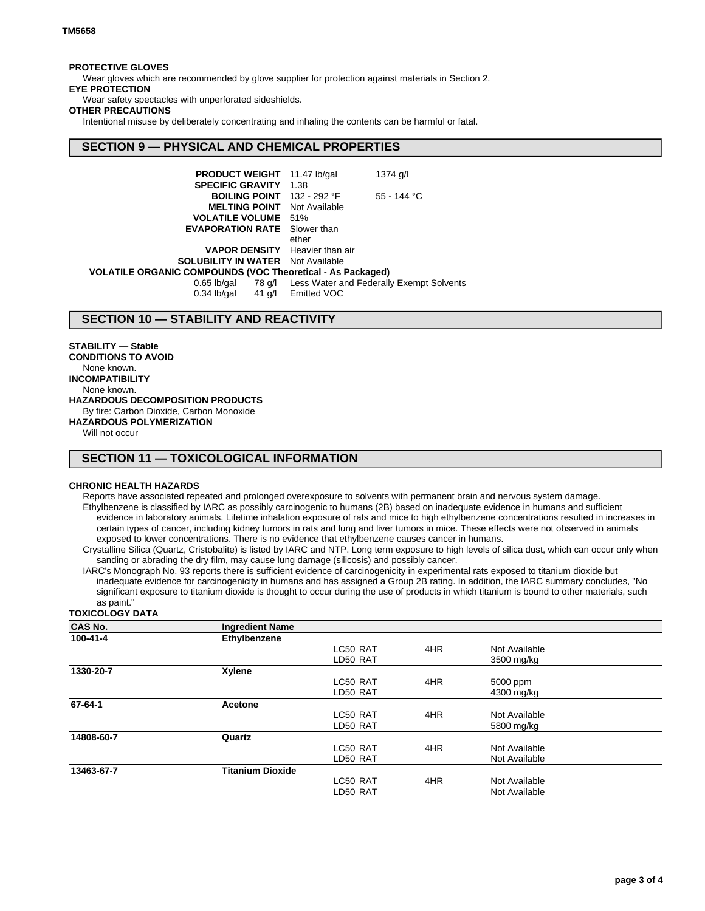## **PROTECTIVE GLOVES**

Wear gloves which are recommended by glove supplier for protection against materials in Section 2.

## **EYE PROTECTION**

Wear safety spectacles with unperforated sideshields.

## **OTHER PRECAUTIONS**

Intentional misuse by deliberately concentrating and inhaling the contents can be harmful or fatal.

# **SECTION 9 — PHYSICAL AND CHEMICAL PROPERTIES**

| <b>PRODUCT WEIGHT</b> 11.47 lb/gal                                |                    | $1374$ g/l                                      |
|-------------------------------------------------------------------|--------------------|-------------------------------------------------|
| <b>SPECIFIC GRAVITY</b>                                           | 1.38               |                                                 |
| BOILING POINT 132 - 292 °F                                        |                    | $55 - 144$ °C                                   |
| <b>MELTING POINT</b> Not Available                                |                    |                                                 |
| <b>VOLATILE VOLUME 51%</b>                                        |                    |                                                 |
| <b>EVAPORATION RATE</b> Slower than                               |                    |                                                 |
|                                                                   | ether              |                                                 |
| <b>VAPOR DENSITY</b> Heavier than air                             |                    |                                                 |
| <b>SOLUBILITY IN WATER</b> Not Available                          |                    |                                                 |
| <b>VOLATILE ORGANIC COMPOUNDS (VOC Theoretical - As Packaged)</b> |                    |                                                 |
| $0.65$ lb/gal<br>$0.34$ lb/gal                                    | 41 g/l Emitted VOC | 78 g/l Less Water and Federally Exempt Solvents |
|                                                                   |                    |                                                 |

# **SECTION 10 — STABILITY AND REACTIVITY**

**STABILITY — Stable CONDITIONS TO AVOID** None known. **INCOMPATIBILITY** None known. **HAZARDOUS DECOMPOSITION PRODUCTS** By fire: Carbon Dioxide, Carbon Monoxide **HAZARDOUS POLYMERIZATION**

Will not occur

# **SECTION 11 — TOXICOLOGICAL INFORMATION**

## **CHRONIC HEALTH HAZARDS**

Reports have associated repeated and prolonged overexposure to solvents with permanent brain and nervous system damage. Ethylbenzene is classified by IARC as possibly carcinogenic to humans (2B) based on inadequate evidence in humans and sufficient evidence in laboratory animals. Lifetime inhalation exposure of rats and mice to high ethylbenzene concentrations resulted in increases in certain types of cancer, including kidney tumors in rats and lung and liver tumors in mice. These effects were not observed in animals exposed to lower concentrations. There is no evidence that ethylbenzene causes cancer in humans.

Crystalline Silica (Quartz, Cristobalite) is listed by IARC and NTP. Long term exposure to high levels of silica dust, which can occur only when sanding or abrading the dry film, may cause lung damage (silicosis) and possibly cancer.

IARC's Monograph No. 93 reports there is sufficient evidence of carcinogenicity in experimental rats exposed to titanium dioxide but inadequate evidence for carcinogenicity in humans and has assigned a Group 2B rating. In addition, the IARC summary concludes, "No significant exposure to titanium dioxide is thought to occur during the use of products in which titanium is bound to other materials, such as paint."

### **TOXICOLOGY DATA**

| <b>CAS No.</b> | <b>Ingredient Name</b>  |          |     |               |  |
|----------------|-------------------------|----------|-----|---------------|--|
| 100-41-4       | Ethylbenzene            |          |     |               |  |
|                |                         | LC50 RAT | 4HR | Not Available |  |
|                |                         | LD50 RAT |     | 3500 mg/kg    |  |
| 1330-20-7      | Xylene                  |          |     |               |  |
|                |                         | LC50 RAT | 4HR | 5000 ppm      |  |
|                |                         | LD50 RAT |     | 4300 mg/kg    |  |
| 67-64-1        | Acetone                 |          |     |               |  |
|                |                         | LC50 RAT | 4HR | Not Available |  |
|                |                         | LD50 RAT |     | 5800 mg/kg    |  |
| 14808-60-7     | Quartz                  |          |     |               |  |
|                |                         | LC50 RAT | 4HR | Not Available |  |
|                |                         | LD50 RAT |     | Not Available |  |
| 13463-67-7     | <b>Titanium Dioxide</b> |          |     |               |  |
|                |                         | LC50 RAT | 4HR | Not Available |  |
|                |                         | LD50 RAT |     | Not Available |  |
|                |                         |          |     |               |  |